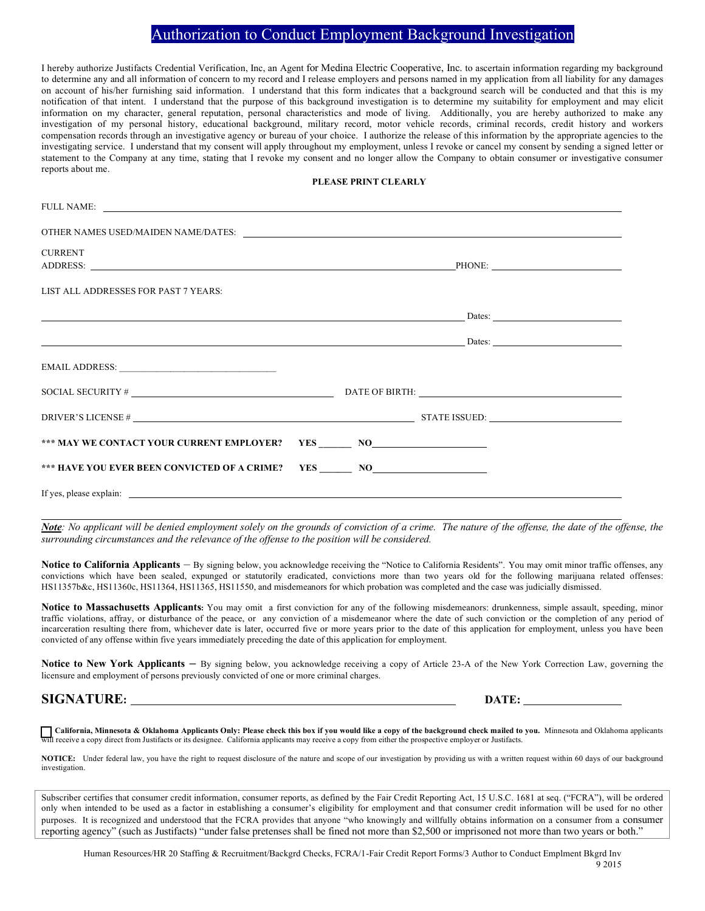### Authorization to Conduct Employment Background Investigation

I hereby authorize Justifacts Credential Verification, Inc, an Agent for Medina Electric Cooperative, Inc. to ascertain information regarding my background to determine any and all information of concern to my record and I release employers and persons named in my application from all liability for any damages on account of his/her furnishing said information. I understand that this form indicates that a background search will be conducted and that this is my notification of that intent. I understand that the purpose of this background investigation is to determine my suitability for employment and may elicit information on my character, general reputation, personal characteristics and mode of living. Additionally, you are hereby authorized to make any investigation of my personal history, educational background, military record, motor vehicle records, criminal records, credit history and workers compensation records through an investigative agency or bureau of your choice. I authorize the release of this information by the appropriate agencies to the investigating service. I understand that my consent will apply throughout my employment, unless I revoke or cancel my consent by sending a signed letter or statement to the Company at any time, stating that I revoke my consent and no longer allow the Company to obtain consumer or investigative consumer reports about me.

#### **PLEASE PRINT CLEARLY**

| <b>CURRENT</b>                                                                                                                                                                                                                       |  |
|--------------------------------------------------------------------------------------------------------------------------------------------------------------------------------------------------------------------------------------|--|
|                                                                                                                                                                                                                                      |  |
| LIST ALL ADDRESSES FOR PAST 7 YEARS:                                                                                                                                                                                                 |  |
| <u> Dates: Dates: Discussion of the Community of the Community of the Community of the Community of the Community of the Community of the Community of the Community of the Community of the Community of the Community of the C</u> |  |
| <u> Dates: Dates: Detection of the Community of the Community of the Community of the Community of the Community of the Community of the Community of the Community of the Community of the Community of the Community of the Co</u> |  |
|                                                                                                                                                                                                                                      |  |
|                                                                                                                                                                                                                                      |  |
|                                                                                                                                                                                                                                      |  |
| *** MAY WE CONTACT YOUR CURRENT EMPLOYER? YES NO NO NOW THE RESIDENCE OF A SAME OF STATE OF A SAME OF STATE OF STATE OF STATE OF STATE OF STATE OF STATE OF STATE OF STATE OF STATE OF STATE OF STATE OF STATE OF STATE OF STA       |  |
| *** HAVE YOU EVER BEEN CONVICTED OF A CRIME? YES ________________________________                                                                                                                                                    |  |
|                                                                                                                                                                                                                                      |  |

*Note: No applicant will be denied employment solely on the grounds of conviction of a crime. The nature of the offense, the date of the offense, the surrounding circumstances and the relevance of the offense to the position will be considered.*

Notice to California Applicants - By signing below, you acknowledge receiving the "Notice to California Residents". You may omit minor traffic offenses, any convictions which have been sealed, expunged or statutorily eradicated, convictions more than two years old for the following marijuana related offenses: HS11357b&c, HS11360c, HS11364, HS11365, HS11550, and misdemeanors for which probation was completed and the case was judicially dismissed.

Notice to Massachusetts Applicants: You may omit a first conviction for any of the following misdemeanors: drunkenness, simple assault, speeding, minor traffic violations, affray, or disturbance of the peace, or any conviction of a misdemeanor where the date of such conviction or the completion of any period of incarceration resulting there from, whichever date is later, occurred five or more years prior to the date of this application for employment, unless you have been convicted of any offense within five years immediately preceding the date of this application for employment.

**Notice to New York Applicants –** By signing below, you acknowledge receiving a copy of Article 23-A of the New York Correction Law, governing the licensure and employment of persons previously convicted of one or more criminal charges.

 $SIGNATURE:$ 

| DATE: |  |
|-------|--|
|       |  |

 **California, Minnesota & Oklahoma Applicants Only: Please check this box if you would like a copy of the background check mailed to you.** Minnesota and Oklahoma applicants will receive a copy direct from Justifacts or its designee. California applicants may receive a copy from either the prospective employer or Justifacts.

**NOTICE:** Under federal law, you have the right to request disclosure of the nature and scope of our investigation by providing us with a written request within 60 days of our background investigation.

Subscriber certifies that consumer credit information, consumer reports, as defined by the Fair Credit Reporting Act, 15 U.S.C. 1681 at seq. ("FCRA"), will be ordered only when intended to be used as a factor in establishing a consumer's eligibility for employment and that consumer credit information will be used for no other purposes. It is recognized and understood that the FCRA provides that anyone "who knowingly and willfully obtains information on a consumer from a consumer reporting agency" (such as Justifacts) "under false pretenses shall be fined not more than \$2,500 or imprisoned not more than two years or both."

Human Resources/HR 20 Staffing & Recruitment/Backgrd Checks, FCRA/1-Fair Credit Report Forms/3 Author to Conduct Emplment Bkgrd Inv 9 2015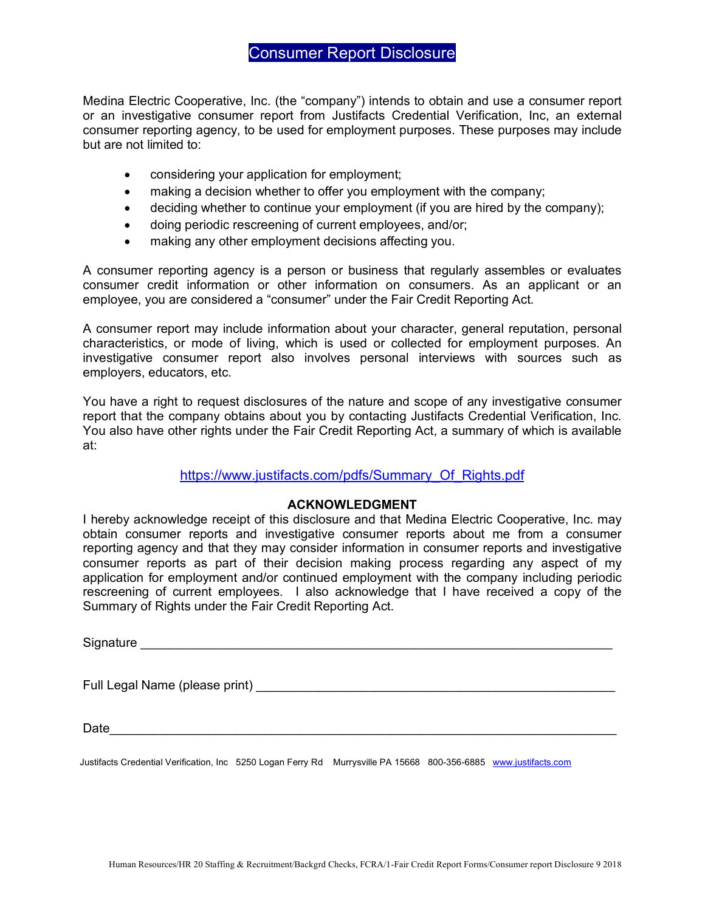Medina Electric Cooperative, Inc. (the "company") intends to obtain and use a consumer report or an investigative consumer report from Justifacts Credential Verification, Inc, an external consumer reporting agency, to be used for employment purposes. These purposes may include but are not limited to:

- considering your application for employment;
- making a decision whether to offer you employment with the company;
- deciding whether to continue your employment (if you are hired by the company);
- doing periodic rescreening of current employees, and/or;
- making any other employment decisions affecting you.

A consumer reporting agency is a person or business that regularly assembles or evaluates consumer credit information or other information on consumers. As an applicant or an employee, you are considered a "consumer" under the Fair Credit Reporting Act.

A consumer report may include information about your character, general reputation, personal characteristics, or mode of living, which is used or collected for employment purposes. An investigative consumer report also involves personal interviews with sources such as employers, educators, etc.

You have a right to request disclosures of the nature and scope of any investigative consumer report that the company obtains about you by contacting Justifacts Credential Verification, Inc. You also have other rights under the Fair Credit Reporting Act, a summary of which is available at:

## [https://www.justifacts.com/pdfs/Summary\\_Of\\_Rights.pdf](http://app.getresponse.com/click.html?x=a62b&lc=BH2MDf&mc=IJ&s=vU51p&u=BIc4&y=o&)

#### **ACKNOWLEDGMENT**

I hereby acknowledge receipt of this disclosure and that Medina Electric Cooperative, Inc. may obtain consumer reports and investigative consumer reports about me from a consumer reporting agency and that they may consider information in consumer reports and investigative consumer reports as part of their decision making process regarding any aspect of my application for employment and/or continued employment with the company including periodic rescreening of current employees. I also acknowledge that I have received a copy of the Summary of Rights under the Fair Credit Reporting Act.

Signature extending the state of the state of the state of the state of the state of the state of the state of the state of the state of the state of the state of the state of the state of the state of the state of the sta

Full Legal Name (please print) \_\_\_\_\_\_\_\_\_\_\_\_\_\_\_\_\_\_\_\_\_\_\_\_\_\_\_\_\_\_\_\_\_\_\_\_\_\_\_\_\_\_\_\_\_\_\_\_\_\_\_

Date\_\_\_\_\_\_\_\_\_\_\_\_\_\_\_\_\_\_\_\_\_\_\_\_\_\_\_\_\_\_\_\_\_\_\_\_\_\_\_\_\_\_\_\_\_\_\_\_\_\_\_\_\_\_\_\_\_\_\_\_\_\_\_\_\_\_\_\_\_\_\_\_

Justifacts Credential Verification, Inc 5250 Logan Ferry Rd Murrysville PA 15668 800-356-6885 [www.justifacts.com](http://www.justifacts.com/)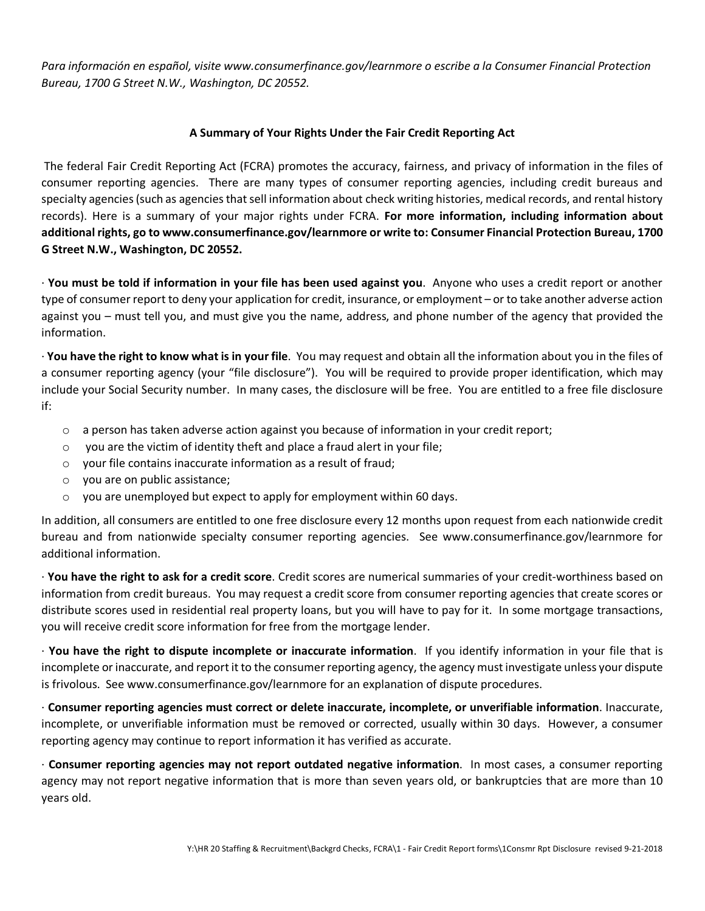*Para información en español, visite www.consumerfinance.gov/learnmore o escribe a la Consumer Financial Protection Bureau, 1700 G Street N.W., Washington, DC 20552.*

## **A Summary of Your Rights Under the Fair Credit Reporting Act**

The federal Fair Credit Reporting Act (FCRA) promotes the accuracy, fairness, and privacy of information in the files of consumer reporting agencies. There are many types of consumer reporting agencies, including credit bureaus and specialty agencies (such as agencies that sell information about check writing histories, medical records, and rental history records). Here is a summary of your major rights under FCRA. **For more information, including information about additional rights, go to www.consumerfinance.gov/learnmore or write to: Consumer Financial Protection Bureau, 1700 G Street N.W., Washington, DC 20552.**

· **You must be told if information in your file has been used against you**. Anyone who uses a credit report or another type of consumer report to deny your application for credit, insurance, or employment – or to take another adverse action against you – must tell you, and must give you the name, address, and phone number of the agency that provided the information.

· **You have the right to know what is in your file**. You may request and obtain all the information about you in the files of a consumer reporting agency (your "file disclosure"). You will be required to provide proper identification, which may include your Social Security number. In many cases, the disclosure will be free. You are entitled to a free file disclosure if:

- $\circ$  a person has taken adverse action against you because of information in your credit report;
- $\circ$  you are the victim of identity theft and place a fraud alert in your file;
- o your file contains inaccurate information as a result of fraud;
- o you are on public assistance;
- o you are unemployed but expect to apply for employment within 60 days.

In addition, all consumers are entitled to one free disclosure every 12 months upon request from each nationwide credit bureau and from nationwide specialty consumer reporting agencies. See www.consumerfinance.gov/learnmore for additional information.

· **You have the right to ask for a credit score**. Credit scores are numerical summaries of your credit-worthiness based on information from credit bureaus. You may request a credit score from consumer reporting agencies that create scores or distribute scores used in residential real property loans, but you will have to pay for it. In some mortgage transactions, you will receive credit score information for free from the mortgage lender.

· **You have the right to dispute incomplete or inaccurate information**. If you identify information in your file that is incomplete or inaccurate, and report it to the consumer reporting agency, the agency must investigate unless your dispute is frivolous. See www.consumerfinance.gov/learnmore for an explanation of dispute procedures.

· **Consumer reporting agencies must correct or delete inaccurate, incomplete, or unverifiable information**. Inaccurate, incomplete, or unverifiable information must be removed or corrected, usually within 30 days. However, a consumer reporting agency may continue to report information it has verified as accurate.

· **Consumer reporting agencies may not report outdated negative information**. In most cases, a consumer reporting agency may not report negative information that is more than seven years old, or bankruptcies that are more than 10 years old.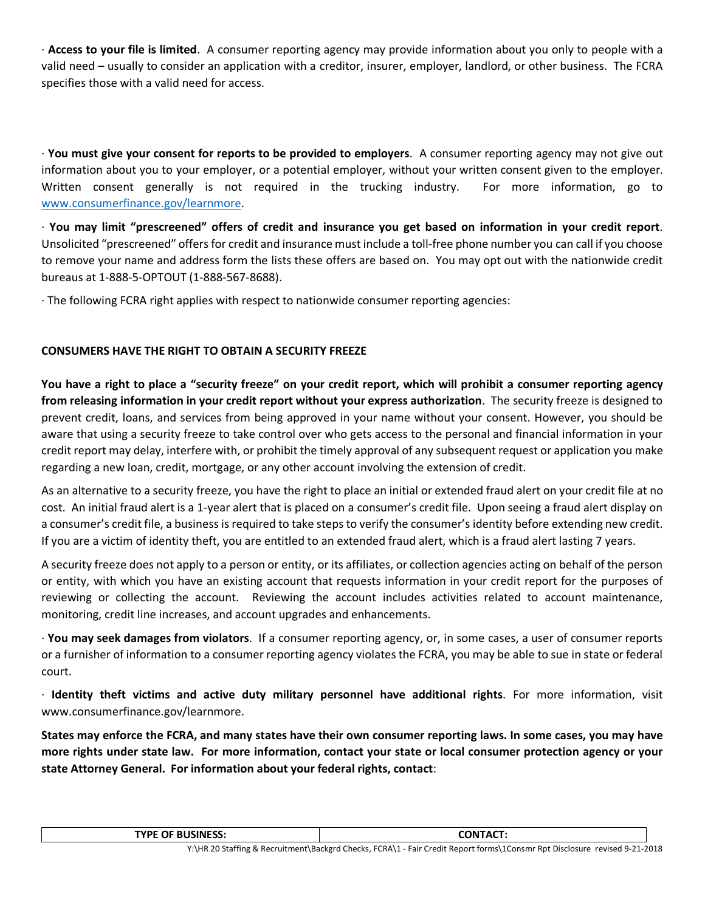· **Access to your file is limited**. A consumer reporting agency may provide information about you only to people with a valid need – usually to consider an application with a creditor, insurer, employer, landlord, or other business. The FCRA specifies those with a valid need for access.

· **You must give your consent for reports to be provided to employers**. A consumer reporting agency may not give out information about you to your employer, or a potential employer, without your written consent given to the employer. Written consent generally is not required in the trucking industry. For more information, go to [www.consumerfinance.gov/learnmore.](http://www.consumerfinance.gov/learnmore)

· **You may limit "prescreened" offers of credit and insurance you get based on information in your credit report**. Unsolicited "prescreened" offers for credit and insurance must include a toll-free phone number you can call if you choose to remove your name and address form the lists these offers are based on. You may opt out with the nationwide credit bureaus at 1-888-5-OPTOUT (1-888-567-8688).

· The following FCRA right applies with respect to nationwide consumer reporting agencies:

# **CONSUMERS HAVE THE RIGHT TO OBTAIN A SECURITY FREEZE**

**You have a right to place a "security freeze" on your credit report, which will prohibit a consumer reporting agency from releasing information in your credit report without your express authorization**. The security freeze is designed to prevent credit, loans, and services from being approved in your name without your consent. However, you should be aware that using a security freeze to take control over who gets access to the personal and financial information in your credit report may delay, interfere with, or prohibit the timely approval of any subsequent request or application you make regarding a new loan, credit, mortgage, or any other account involving the extension of credit.

As an alternative to a security freeze, you have the right to place an initial or extended fraud alert on your credit file at no cost. An initial fraud alert is a 1-year alert that is placed on a consumer's credit file. Upon seeing a fraud alert display on a consumer's credit file, a business is required to take steps to verify the consumer's identity before extending new credit. If you are a victim of identity theft, you are entitled to an extended fraud alert, which is a fraud alert lasting 7 years.

A security freeze does not apply to a person or entity, or its affiliates, or collection agencies acting on behalf of the person or entity, with which you have an existing account that requests information in your credit report for the purposes of reviewing or collecting the account. Reviewing the account includes activities related to account maintenance, monitoring, credit line increases, and account upgrades and enhancements.

· **You may seek damages from violators**. If a consumer reporting agency, or, in some cases, a user of consumer reports or a furnisher of information to a consumer reporting agency violates the FCRA, you may be able to sue in state or federal court.

· **Identity theft victims and active duty military personnel have additional rights**. For more information, visit www.consumerfinance.gov/learnmore.

**States may enforce the FCRA, and many states have their own consumer reporting laws. In some cases, you may have more rights under state law. For more information, contact your state or local consumer protection agency or your state Attorney General. For information about your federal rights, contact**: